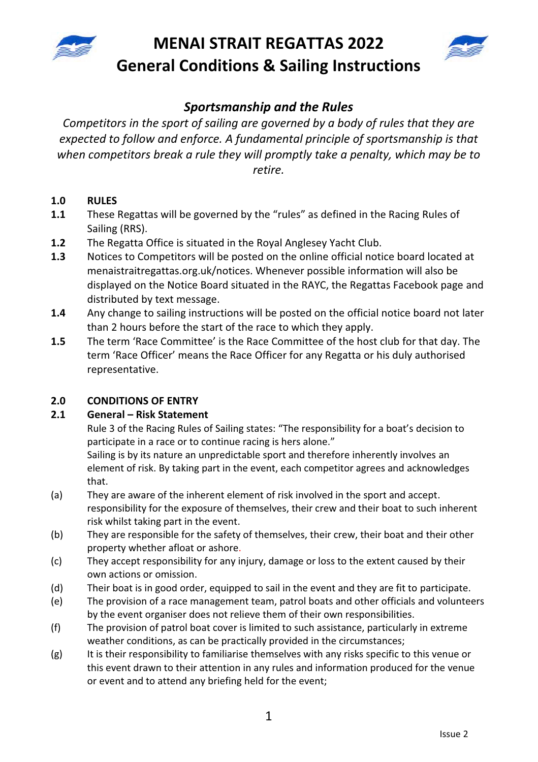

# **MENAI STRAIT REGATTAS 2022 General Conditions & Sailing Instructions**



### *Sportsmanship and the Rules*

*Competitors in the sport of sailing are governed by a body of rules that they are*  expected to follow and enforce. A fundamental principle of sportsmanship is that *when competitors break a rule they will promptly take a penalty, which may be to retire.* 

#### **1.0 RULES**

- **1.1** These Regattas will be governed by the "rules" as defined in the Racing Rules of Sailing (RRS).
- **1.2** The Regatta Office is situated in the Royal Anglesey Yacht Club.
- **1.3** Notices to Competitors will be posted on the online official notice board located at menaistraitregattas.org.uk/notices. Whenever possible information will also be displayed on the Notice Board situated in the RAYC, the Regattas Facebook page and distributed by text message.
- **1.4** Any change to sailing instructions will be posted on the official notice board not later than 2 hours before the start of the race to which they apply.
- **1.5** The term 'Race Committee' is the Race Committee of the host club for that day. The term 'Race Officer' means the Race Officer for any Regatta or his duly authorised representative.

#### **2.0 CONDITIONS OF ENTRY**

#### **2.1 General – Risk Statement**

Rule 3 of the Racing Rules of Sailing states: "The responsibility for a boat's decision to participate in a race or to continue racing is hers alone."

Sailing is by its nature an unpredictable sport and therefore inherently involves an element of risk. By taking part in the event, each competitor agrees and acknowledges that.

- (a) They are aware of the inherent element of risk involved in the sport and accept. responsibility for the exposure of themselves, their crew and their boat to such inherent risk whilst taking part in the event.
- (b) They are responsible for the safety of themselves, their crew, their boat and their other property whether afloat or ashore.
- (c) They accept responsibility for any injury, damage or loss to the extent caused by their own actions or omission.
- (d) Their boat is in good order, equipped to sail in the event and they are fit to participate.
- (e) The provision of a race management team, patrol boats and other officials and volunteers by the event organiser does not relieve them of their own responsibilities.
- (f) The provision of patrol boat cover is limited to such assistance, particularly in extreme weather conditions, as can be practically provided in the circumstances;
- (g) It is their responsibility to familiarise themselves with any risks specific to this venue or this event drawn to their attention in any rules and information produced for the venue or event and to attend any briefing held for the event;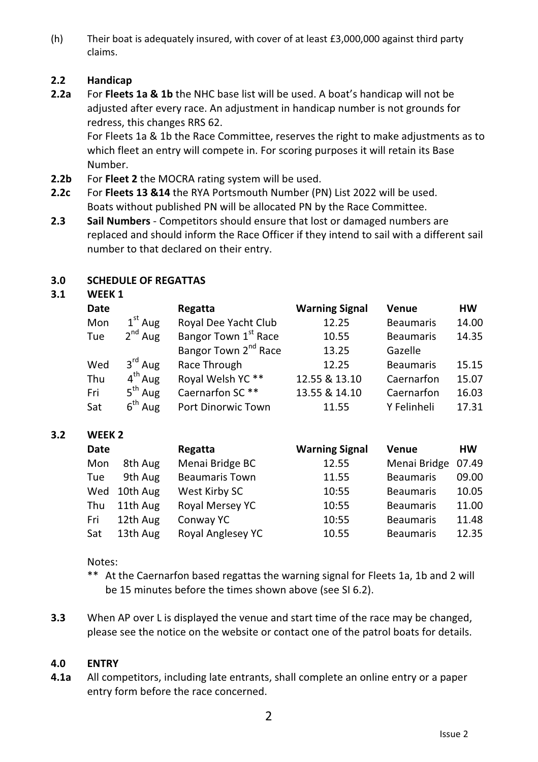(h) Their boat is adequately insured, with cover of at least £3,000,000 against third party claims.

#### **2.2 Handicap**

**2.2a** For **Fleets 1a & 1b** the NHC base list will be used. A boat's handicap will not be adjusted after every race. An adjustment in handicap number is not grounds for redress, this changes RRS 62.

For Fleets 1a & 1b the Race Committee, reserves the right to make adjustments as to which fleet an entry will compete in. For scoring purposes it will retain its Base Number.

- **2.2b** For **Fleet 2** the MOCRA rating system will be used.
- **2.2c** For **Fleets 13 &14** the RYA Portsmouth Number (PN) List 2022 will be used. Boats without published PN will be allocated PN by the Race Committee.
- **2.3 Sail Numbers** Competitors should ensure that lost or damaged numbers are replaced and should inform the Race Officer if they intend to sail with a different sail number to that declared on their entry.

#### **3.0 SCHEDULE OF REGATTAS**

#### **3.1 WEEK 1**

| Date |              | Regatta                          | <b>Warning Signal</b> | Venue            | нw    |
|------|--------------|----------------------------------|-----------------------|------------------|-------|
| Mon  | $1st$ Aug    | Royal Dee Yacht Club             | 12.25                 | <b>Beaumaris</b> | 14.00 |
| Tue  | $2^{nd}$ Aug | Bangor Town 1st Race             | 10.55                 | <b>Beaumaris</b> | 14.35 |
|      |              | Bangor Town 2 <sup>nd</sup> Race | 13.25                 | Gazelle          |       |
| Wed  | $3rd$ Aug    | Race Through                     | 12.25                 | <b>Beaumaris</b> | 15.15 |
| Thu  | $4th$ Aug    | Royal Welsh YC **                | 12.55 & 13.10         | Caernarfon       | 15.07 |
| Fri  | $5th$ Aug    | Caernarfon SC**                  | 13.55 & 14.10         | Caernarfon       | 16.03 |
| Sat  | $6th$ Aug    | Port Dinorwic Town               | 11.55                 | Y Felinheli      | 17.31 |
|      |              |                                  |                       |                  |       |

#### **3.2 WEEK 2**

| Date |          | Regatta               | <b>Warning Signal</b> | Venue            | НW    |
|------|----------|-----------------------|-----------------------|------------------|-------|
| Mon  | 8th Aug  | Menai Bridge BC       | 12.55                 | Menai Bridge     | 07.49 |
| Tue  | 9th Aug  | <b>Beaumaris Town</b> | 11.55                 | <b>Beaumaris</b> | 09.00 |
| Wed  | 10th Aug | West Kirby SC         | 10:55                 | <b>Beaumaris</b> | 10.05 |
| Thu  | 11th Aug | Royal Mersey YC       | 10:55                 | <b>Beaumaris</b> | 11.00 |
| Fri  | 12th Aug | Conway YC             | 10:55                 | <b>Beaumaris</b> | 11.48 |
| Sat  | 13th Aug | Royal Anglesey YC     | 10.55                 | <b>Beaumaris</b> | 12.35 |

Notes:

- \*\* At the Caernarfon based regattas the warning signal for Fleets 1a, 1b and 2 will be 15 minutes before the times shown above (see SI 6.2).
- **3.3** When AP over L is displayed the venue and start time of the race may be changed, please see the notice on the website or contact one of the patrol boats for details.

#### **4.0 ENTRY**

**4.1a** All competitors, including late entrants, shall complete an online entry or a paper entry form before the race concerned.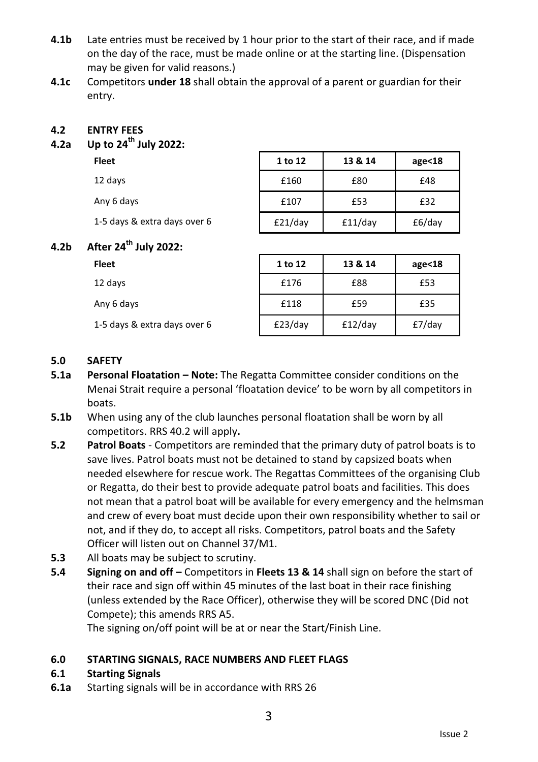- **4.1b** Late entries must be received by 1 hour prior to the start of their race, and if made on the day of the race, must be made online or at the starting line. (Dispensation may be given for valid reasons.)
- **4.1c** Competitors **under 18** shall obtain the approval of a parent or guardian for their entry.

#### **4.2 ENTRY FEES**

**4.2a Up to 24th July 2022:** 

| <b>Fleet</b>                 | 1 to 12 | 13 & 14 | age $<$ 18 |
|------------------------------|---------|---------|------------|
| 12 days                      | £160    | £80     | £48        |
| Any 6 days                   | £107    | £53     | £32        |
| 1-5 days & extra days over 6 | £21/day | f11/day | £6/day     |

### **4.2b After 24th July 2022:**

| <b>Fleet</b>                 | 1 to 12    | 13 & 14    | age <sub>18</sub> |
|------------------------------|------------|------------|-------------------|
| 12 days                      | £176       | £88        | £53               |
| Any 6 days                   | £118       | £59        | £35               |
| 1-5 days & extra days over 6 | $E23$ /day | $f12$ /day | $E7$ /day         |

#### **5.0 SAFETY**

- **5.1a Personal Floatation Note:** The Regatta Committee consider conditions on the Menai Strait require a personal 'floatation device' to be worn by all competitors in boats.
- **5.1b** When using any of the club launches personal floatation shall be worn by all competitors. RRS 40.2 will apply**.**
- **5.2 Patrol Boats** Competitors are reminded that the primary duty of patrol boats is to save lives. Patrol boats must not be detained to stand by capsized boats when needed elsewhere for rescue work. The Regattas Committees of the organising Club or Regatta, do their best to provide adequate patrol boats and facilities. This does not mean that a patrol boat will be available for every emergency and the helmsman and crew of every boat must decide upon their own responsibility whether to sail or not, and if they do, to accept all risks. Competitors, patrol boats and the Safety Officer will listen out on Channel 37/M1.
- **5.3** All boats may be subject to scrutiny.
- **5.4 Signing on and off** Competitors in **Fleets 13 & 14** shall sign on before the start of their race and sign off within 45 minutes of the last boat in their race finishing (unless extended by the Race Officer), otherwise they will be scored DNC (Did not Compete); this amends RRS A5.

The signing on/off point will be at or near the Start/Finish Line.

#### **6.0 STARTING SIGNALS, RACE NUMBERS AND FLEET FLAGS**

#### **6.1 Starting Signals**

**6.1a** Starting signals will be in accordance with RRS 26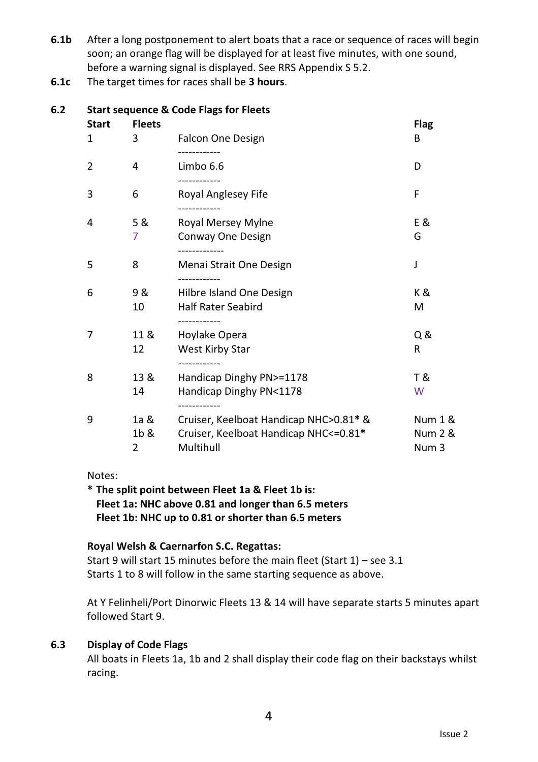- **6.1b** After a long postponement to alert boats that a race or sequence of races will begin soon; an orange flag will be displayed for at least five minutes, with one sound, before a warning signal is displayed. See RRS Appendix S 5.2.
- **6.1c** The target times for races shall be **3 hours**.

### **6.2 Start sequence & Code Flags for Fleets**

| Start<br>1 | <b>Fleets</b><br>3 | Falcon One Design                                                                              | <b>Flag</b><br>B                       |
|------------|--------------------|------------------------------------------------------------------------------------------------|----------------------------------------|
| 2          | 4                  | <br>Limbo 6.6<br>------------                                                                  | D                                      |
| 3          | 6                  | Royal Anglesey Fife                                                                            | F                                      |
| 4          | 5 &<br>7           | ------------<br>Royal Mersey Mylne<br>Conway One Design<br>.                                   | E &<br>G                               |
| 5          | 8                  | Menai Strait One Design<br>-----------                                                         | J                                      |
| 6          | 9 &<br>10          | Hilbre Island One Design<br><b>Half Rater Seabird</b>                                          | K &<br>м                               |
| 7          | 11 &<br>12         | Hoylake Opera<br>West Kirby Star<br>                                                           | Q &<br>R                               |
| 8          | 13 &<br>14         | Handicap Dinghy PN>=1178<br>Handicap Dinghy PN<1178<br>-----------                             | T &<br>W                               |
| 9          | 1a &<br>1b &<br>2  | Cruiser, Keelboat Handicap NHC>0.81* &<br>Cruiser, Keelboat Handicap NHC <= 0.81*<br>Multihull | Num 1 &<br><b>Num 2 &amp;</b><br>Num 3 |

#### Notes:

#### **\* The split point between Fleet 1a & Fleet 1b is: Fleet 1a: NHC above 0.81 and longer than 6.5 meters Fleet 1b: NHC up to 0.81 or shorter than 6.5 meters**

#### **Royal Welsh & Caernarfon S.C. Regattas:**

Start 9 will start 15 minutes before the main fleet (Start 1) – see 3.1 Starts 1 to 8 will follow in the same starting sequence as above.

At Y Felinheli/Port Dinorwic Fleets 13 & 14 will have separate starts 5 minutes apart followed Start 9.

#### **6.3 Display of Code Flags**

All boats in Fleets 1a, 1b and 2 shall display their code flag on their backstays whilst racing.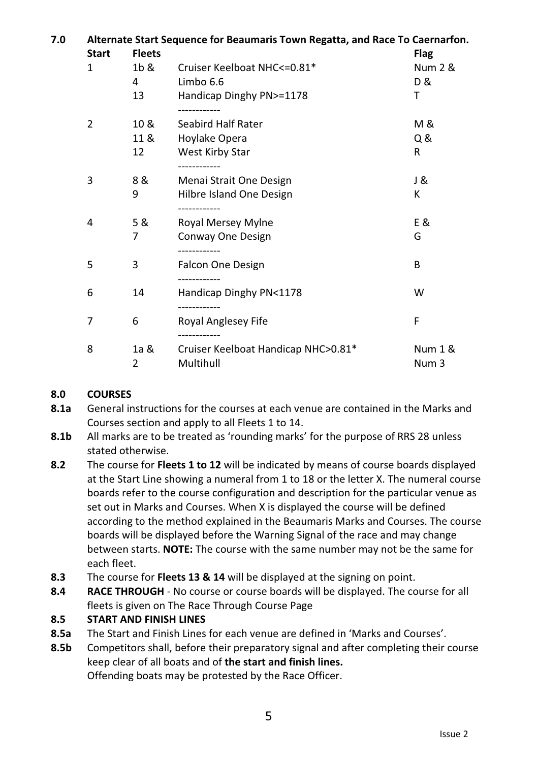| 7.0 |              | Alternate Start Sequence for Beaumaris Town Regatta, and Race To Caernarfon. |                                                  |                  |  |  |
|-----|--------------|------------------------------------------------------------------------------|--------------------------------------------------|------------------|--|--|
|     | <b>Start</b> | <b>Fleets</b>                                                                |                                                  | Flag             |  |  |
|     | 1            | $1b$ &                                                                       | Cruiser Keelboat NHC<=0.81*                      | Num 2 &          |  |  |
|     |              | 4                                                                            | Limbo 6.6                                        | D &              |  |  |
|     |              | 13                                                                           | Handicap Dinghy PN>=1178<br>------------         | т                |  |  |
|     | 2            | 10 <sub>8</sub>                                                              | Seabird Half Rater                               | M &              |  |  |
|     |              | 11 &                                                                         | Hoylake Opera                                    | Q &              |  |  |
|     |              | 12                                                                           | West Kirby Star                                  | R                |  |  |
|     | 3            | 8&                                                                           | -----------<br>Menai Strait One Design           | J &              |  |  |
|     |              | 9                                                                            | Hilbre Island One Design                         | К                |  |  |
|     | 4            | 5 &                                                                          | Royal Mersey Mylne                               | E &              |  |  |
|     |              | 7                                                                            | Conway One Design<br>-----------                 | G                |  |  |
|     | 5            | 3                                                                            | Falcon One Design                                | B                |  |  |
|     | 6            | 14                                                                           | Handicap Dinghy PN<1178                          | W                |  |  |
|     | 7            | 6                                                                            | Royal Anglesey Fife                              | F                |  |  |
|     | 8            | 1a &<br>$\overline{2}$                                                       | Cruiser Keelboat Handicap NHC>0.81*<br>Multihull | Num 1 &<br>Num 3 |  |  |

#### **8.0 COURSES**

- **8.1a** General instructions for the courses at each venue are contained in the Marks and Courses section and apply to all Fleets 1 to 14.
- **8.1b** All marks are to be treated as 'rounding marks' for the purpose of RRS 28 unless stated otherwise.
- **8.2** The course for **Fleets 1 to 12** will be indicated by means of course boards displayed at the Start Line showing a numeral from 1 to 18 or the letter X. The numeral course boards refer to the course configuration and description for the particular venue as set out in Marks and Courses. When X is displayed the course will be defined according to the method explained in the Beaumaris Marks and Courses. The course boards will be displayed before the Warning Signal of the race and may change between starts. **NOTE:** The course with the same number may not be the same for each fleet.
- **8.3** The course for **Fleets 13 & 14** will be displayed at the signing on point.
- **8.4 RACE THROUGH** No course or course boards will be displayed. The course for all fleets is given on The Race Through Course Page

#### **8.5 START AND FINISH LINES**

- **8.5a** The Start and Finish Lines for each venue are defined in 'Marks and Courses'.
- **8.5b** Competitors shall, before their preparatory signal and after completing their course keep clear of all boats and of **the start and finish lines.**  Offending boats may be protested by the Race Officer.

5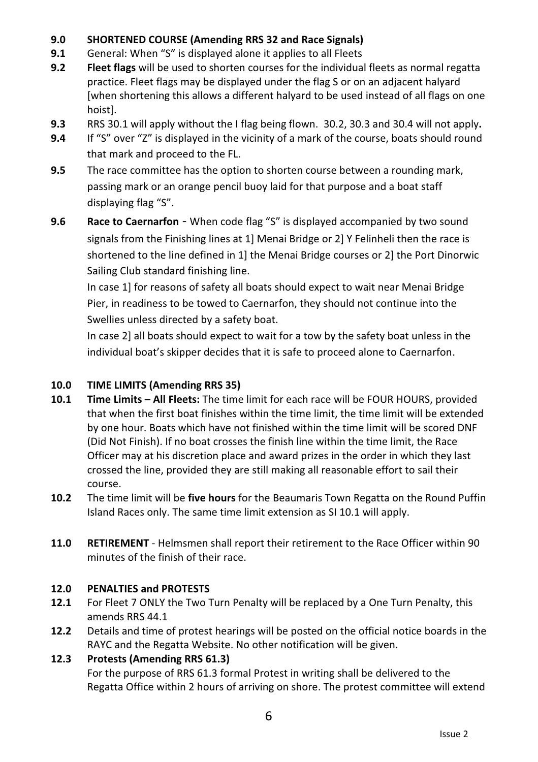#### **9.0 SHORTENED COURSE (Amending RRS 32 and Race Signals)**

- **9.1** General: When "S" is displayed alone it applies to all Fleets
- **9.2 Fleet flags** will be used to shorten courses for the individual fleets as normal regatta practice. Fleet flags may be displayed under the flag S or on an adjacent halyard [when shortening this allows a different halyard to be used instead of all flags on one hoist].
- **9.3** RRS 30.1 will apply without the I flag being flown. 30.2, 30.3 and 30.4 will not apply**.**
- **9.4** If "S" over "Z" is displayed in the vicinity of a mark of the course, boats should round that mark and proceed to the FL.
- **9.5** The race committee has the option to shorten course between a rounding mark, passing mark or an orange pencil buoy laid for that purpose and a boat staff displaying flag "S".
- **9.6 Race to Caernarfon** When code flag "S" is displayed accompanied by two sound signals from the Finishing lines at 1] Menai Bridge or 2] Y Felinheli then the race is shortened to the line defined in 1] the Menai Bridge courses or 2] the Port Dinorwic Sailing Club standard finishing line.

In case 1] for reasons of safety all boats should expect to wait near Menai Bridge Pier, in readiness to be towed to Caernarfon, they should not continue into the Swellies unless directed by a safety boat.

In case 2] all boats should expect to wait for a tow by the safety boat unless in the individual boat's skipper decides that it is safe to proceed alone to Caernarfon.

#### **10.0 TIME LIMITS (Amending RRS 35)**

- **10.1 Time Limits All Fleets:** The time limit for each race will be FOUR HOURS, provided that when the first boat finishes within the time limit, the time limit will be extended by one hour. Boats which have not finished within the time limit will be scored DNF (Did Not Finish). If no boat crosses the finish line within the time limit, the Race Officer may at his discretion place and award prizes in the order in which they last crossed the line, provided they are still making all reasonable effort to sail their course.
- **10.2** The time limit will be **five hours** for the Beaumaris Town Regatta on the Round Puffin Island Races only. The same time limit extension as SI 10.1 will apply.
- **11.0 RETIREMENT** Helmsmen shall report their retirement to the Race Officer within 90 minutes of the finish of their race.

#### **12.0 PENALTIES and PROTESTS**

- **12.1** For Fleet 7 ONLY the Two Turn Penalty will be replaced by a One Turn Penalty, this amends RRS 44.1
- **12.2** Details and time of protest hearings will be posted on the official notice boards in the RAYC and the Regatta Website. No other notification will be given.

#### **12.3 Protests (Amending RRS 61.3)**  For the purpose of RRS 61.3 formal Protest in writing shall be delivered to the Regatta Office within 2 hours of arriving on shore. The protest committee will extend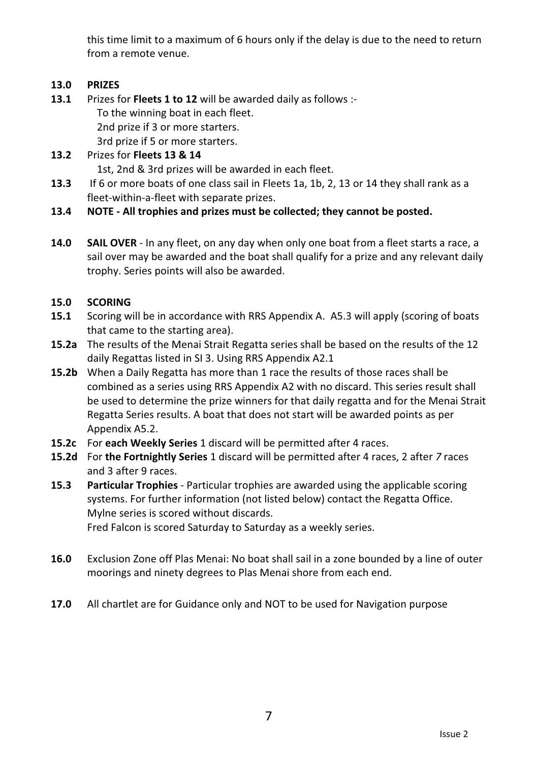this time limit to a maximum of 6 hours only if the delay is due to the need to return from a remote venue.

#### **13.0 PRIZES**

- **13.1** Prizes for **Fleets 1 to 12** will be awarded daily as follows :- To the winning boat in each fleet. 2nd prize if 3 or more starters. 3rd prize if 5 or more starters.
- **13.2** Prizes for **Fleets 13 & 14**  1st, 2nd & 3rd prizes will be awarded in each fleet.
- **13.3** If 6 or more boats of one class sail in Fleets 1a, 1b, 2, 13 or 14 they shall rank as a fleet-within-a-fleet with separate prizes.
- **13.4 NOTE All trophies and prizes must be collected; they cannot be posted.**
- **14.0 SAIL OVER** In any fleet, on any day when only one boat from a fleet starts a race, a sail over may be awarded and the boat shall qualify for a prize and any relevant daily trophy. Series points will also be awarded.

#### **15.0 SCORING**

- **15.1** Scoring will be in accordance with RRS Appendix A. A5.3 will apply (scoring of boats that came to the starting area).
- **15.2a** The results of the Menai Strait Regatta series shall be based on the results of the 12 daily Regattas listed in SI 3. Using RRS Appendix A2.1
- **15.2b** When a Daily Regatta has more than 1 race the results of those races shall be combined as a series using RRS Appendix A2 with no discard. This series result shall be used to determine the prize winners for that daily regatta and for the Menai Strait Regatta Series results. A boat that does not start will be awarded points as per Appendix A5.2.
- **15.2c** For **each Weekly Series** 1 discard will be permitted after 4 races.
- **15.2d** For **the Fortnightly Series** 1 discard will be permitted after 4 races, 2 after *7* races and 3 after 9 races.
- **15.3 Particular Trophies** Particular trophies are awarded using the applicable scoring systems. For further information (not listed below) contact the Regatta Office. Mylne series is scored without discards. Fred Falcon is scored Saturday to Saturday as a weekly series.
- **16.0** Exclusion Zone off Plas Menai: No boat shall sail in a zone bounded by a line of outer moorings and ninety degrees to Plas Menai shore from each end.
- **17.0** All chartlet are for Guidance only and NOT to be used for Navigation purpose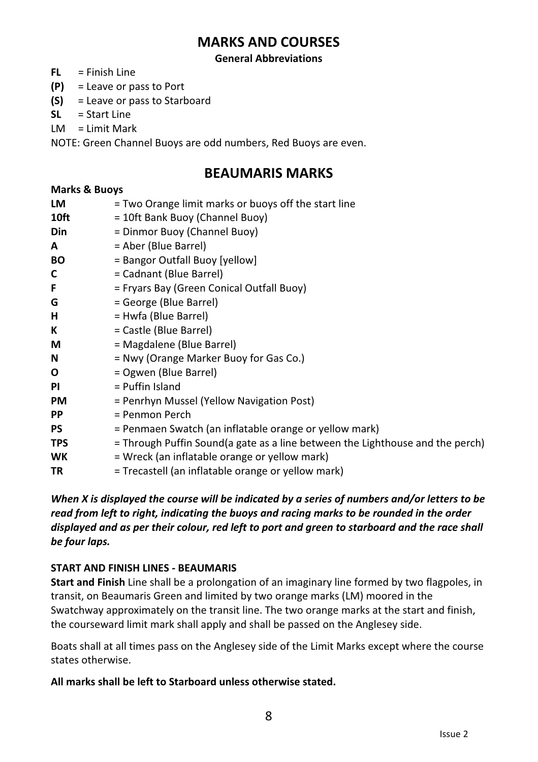### **MARKS AND COURSES**

#### **General Abbreviations**

- **FL** = Finish Line
- **(P)** = Leave or pass to Port
- **(S)** = Leave or pass to Starboard
- **SL** = Start Line
- $IM = Limit Mark$

NOTE: Green Channel Buoys are odd numbers, Red Buoys are even.

### **BEAUMARIS MARKS**

#### **Marks & Buoys**

| <b>LM</b>  | = Two Orange limit marks or buoys off the start line                          |
|------------|-------------------------------------------------------------------------------|
| 10ft       | = 10ft Bank Buoy (Channel Buoy)                                               |
| <b>Din</b> | = Dinmor Buoy (Channel Buoy)                                                  |
| A          | = Aber (Blue Barrel)                                                          |
| BО         | = Bangor Outfall Buoy [yellow]                                                |
| C          | = Cadnant (Blue Barrel)                                                       |
| F          | = Fryars Bay (Green Conical Outfall Buoy)                                     |
| G          | = George (Blue Barrel)                                                        |
| н          | = Hwfa (Blue Barrel)                                                          |
| К          | = Castle (Blue Barrel)                                                        |
| М          | = Magdalene (Blue Barrel)                                                     |
| N          | = Nwy (Orange Marker Buoy for Gas Co.)                                        |
| 0          | = Ogwen (Blue Barrel)                                                         |
| ΡI         | = Puffin Island                                                               |
| <b>PM</b>  | = Penrhyn Mussel (Yellow Navigation Post)                                     |
| <b>PP</b>  | = Penmon Perch                                                                |
| PS         | = Penmaen Swatch (an inflatable orange or yellow mark)                        |
| <b>TPS</b> | = Through Puffin Sound(a gate as a line between the Lighthouse and the perch) |
| <b>WK</b>  | = Wreck (an inflatable orange or yellow mark)                                 |
| TR         | = Trecastell (an inflatable orange or yellow mark)                            |

*When X is displayed the course will be indicated by a series of numbers and/or letters to be read from left to right, indicating the buoys and racing marks to be rounded in the order displayed and as per their colour, red left to port and green to starboard and the race shall be four laps.* 

#### **START AND FINISH LINES - BEAUMARIS**

**Start and Finish** Line shall be a prolongation of an imaginary line formed by two flagpoles, in transit, on Beaumaris Green and limited by two orange marks (LM) moored in the Swatchway approximately on the transit line. The two orange marks at the start and finish, the courseward limit mark shall apply and shall be passed on the Anglesey side.

Boats shall at all times pass on the Anglesey side of the Limit Marks except where the course states otherwise.

**All marks shall be left to Starboard unless otherwise stated.**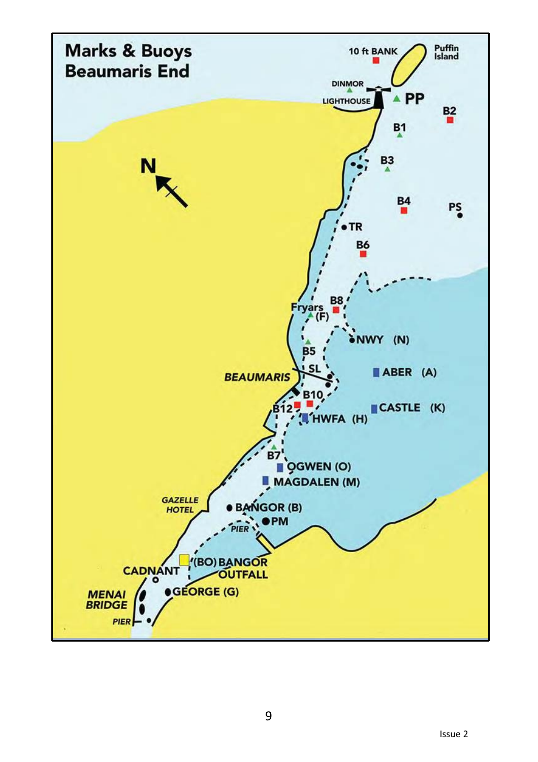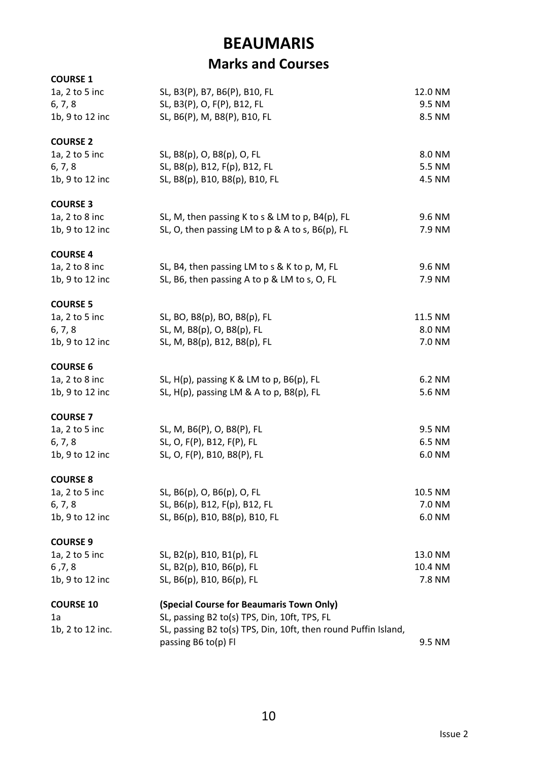# **BEAUMARIS Marks and Courses**

| <b>COURSE 1</b>                     |                                                                |         |
|-------------------------------------|----------------------------------------------------------------|---------|
| 1a, 2 to 5 inc                      | SL, B3(P), B7, B6(P), B10, FL                                  | 12.0 NM |
| 6, 7, 8                             | SL, B3(P), O, F(P), B12, FL                                    | 9.5 NM  |
| 1b, 9 to 12 inc                     | SL, B6(P), M, B8(P), B10, FL                                   | 8.5 NM  |
|                                     |                                                                |         |
| <b>COURSE 2</b>                     |                                                                |         |
| 1a, 2 to 5 inc                      | SL, B8(p), O, B8(p), O, FL                                     | 8.0 NM  |
| 6, 7, 8                             | SL, B8(p), B12, F(p), B12, FL                                  | 5.5 NM  |
| 1b, 9 to 12 inc                     | SL, B8(p), B10, B8(p), B10, FL                                 | 4.5 NM  |
|                                     |                                                                |         |
| <b>COURSE 3</b>                     |                                                                |         |
| 1a, 2 to 8 inc                      | SL, M, then passing K to s & LM to p, B4(p), FL                | 9.6 NM  |
| 1b, 9 to 12 inc                     | SL, O, then passing LM to p & A to s, B6(p), FL                | 7.9 NM  |
| <b>COURSE 4</b>                     |                                                                |         |
| 1a, 2 to 8 inc                      | SL, B4, then passing LM to s & K to p, M, FL                   | 9.6 NM  |
| 1b, 9 to 12 inc                     | SL, B6, then passing A to p & LM to s, O, FL                   | 7.9 NM  |
|                                     |                                                                |         |
| <b>COURSE 5</b>                     |                                                                |         |
| 1a, 2 to 5 inc                      | SL, BO, B8(p), BO, B8(p), FL                                   | 11.5 NM |
| 6, 7, 8                             | SL, M, B8(p), O, B8(p), FL                                     | 8.0 NM  |
| 1b, 9 to 12 inc                     | SL, M, B8(p), B12, B8(p), FL                                   | 7.0 NM  |
|                                     |                                                                |         |
| <b>COURSE 6</b><br>$1a, 2 to 8$ inc |                                                                | 6.2 NM  |
|                                     | SL, $H(p)$ , passing K & LM to p, $B6(p)$ , FL                 | 5.6 NM  |
| 1b, 9 to 12 inc                     | SL, $H(p)$ , passing LM & A to p, $B8(p)$ , FL                 |         |
| <b>COURSE 7</b>                     |                                                                |         |
| 1a, 2 to 5 inc                      | SL, M, B6(P), O, B8(P), FL                                     | 9.5 NM  |
| 6, 7, 8                             | SL, O, F(P), B12, F(P), FL                                     | 6.5 NM  |
| 1b, 9 to 12 inc                     | SL, O, F(P), B10, B8(P), FL                                    | 6.0 NM  |
|                                     |                                                                |         |
| <b>COURSE 8</b>                     |                                                                |         |
| 1a, 2 to 5 inc                      | SL, B6(p), O, B6(p), O, FL                                     | 10.5 NM |
| 6, 7, 8                             | SL, B6(p), B12, F(p), B12, FL                                  | 7.0 NM  |
| 1b, 9 to 12 inc                     | SL, B6(p), B10, B8(p), B10, FL                                 | 6.0 NM  |
| <b>COURSE 9</b>                     |                                                                |         |
| 1a, 2 to 5 inc                      | SL, B2(p), B10, B1(p), FL                                      | 13.0 NM |
| 6, 7, 8                             | SL, B2(p), B10, B6(p), FL                                      | 10.4 NM |
| 1b, 9 to 12 inc                     | SL, B6(p), B10, B6(p), FL                                      | 7.8 NM  |
|                                     |                                                                |         |
| <b>COURSE 10</b>                    | (Special Course for Beaumaris Town Only)                       |         |
| 1a                                  | SL, passing B2 to(s) TPS, Din, 10ft, TPS, FL                   |         |
| 1b, 2 to 12 inc.                    | SL, passing B2 to(s) TPS, Din, 10ft, then round Puffin Island, |         |
|                                     | passing B6 to(p) Fl                                            | 9.5 NM  |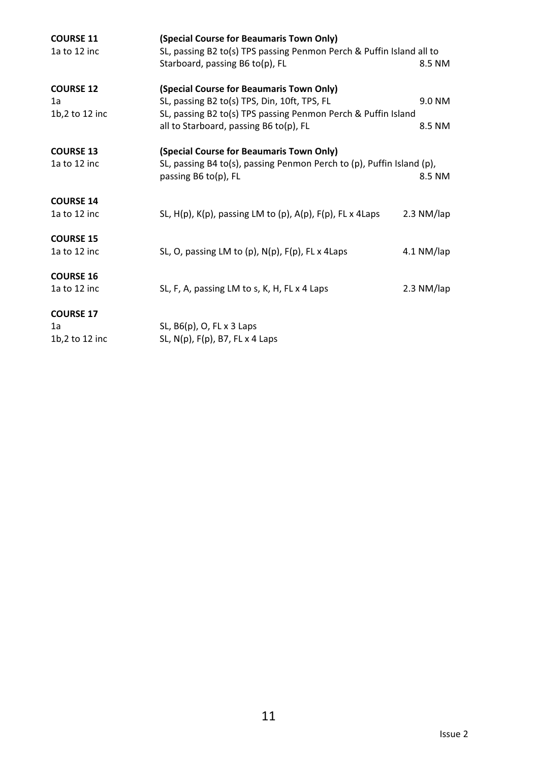| <b>COURSE 11</b>   | (Special Course for Beaumaris Town Only)                                                      |            |
|--------------------|-----------------------------------------------------------------------------------------------|------------|
| 1a to 12 inc       | SL, passing B2 to(s) TPS passing Penmon Perch & Puffin Island all to                          |            |
|                    | Starboard, passing B6 to(p), FL                                                               | 8.5 NM     |
| <b>COURSE 12</b>   | (Special Course for Beaumaris Town Only)                                                      |            |
| 1a                 | SL, passing B2 to(s) TPS, Din, 10ft, TPS, FL                                                  | 9.0 NM     |
| 1b,2 to 12 inc     | SL, passing B2 to(s) TPS passing Penmon Perch & Puffin Island                                 |            |
|                    | all to Starboard, passing B6 to(p), FL                                                        | 8.5 NM     |
| <b>COURSE 13</b>   | (Special Course for Beaumaris Town Only)                                                      |            |
| 1a to 12 inc       | SL, passing B4 to(s), passing Penmon Perch to (p), Puffin Island (p),<br>passing B6 to(p), FL | 8.5 NM     |
| <b>COURSE 14</b>   |                                                                                               |            |
| 1a to 12 inc       | SL, $H(p)$ , $K(p)$ , passing LM to $(p)$ , $A(p)$ , $F(p)$ , $FL \times 4Laps$               | 2.3 NM/lap |
| <b>COURSE 15</b>   |                                                                                               |            |
| 1a to 12 inc       | SL, O, passing LM to (p), N(p), F(p), FL x 4Laps                                              | 4.1 NM/lap |
| <b>COURSE 16</b>   |                                                                                               |            |
| 1a to 12 inc       | SL, F, A, passing LM to s, K, H, FL x 4 Laps                                                  | 2.3 NM/lap |
| <b>COURSE 17</b>   |                                                                                               |            |
| 1a                 | SL, $B6(p)$ , O, FL x 3 Laps                                                                  |            |
| $1b,2$ to $12$ inc | SL, $N(p)$ , $F(p)$ , B7, FL x 4 Laps                                                         |            |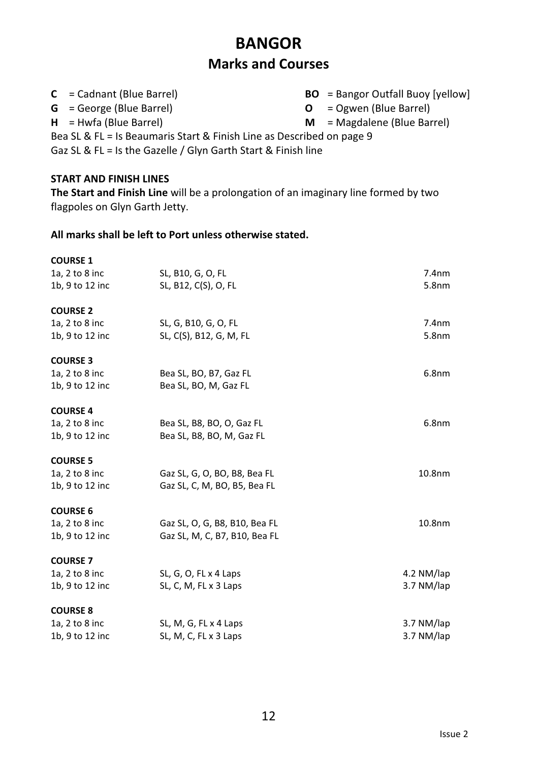# **BANGOR Marks and Courses**

| $C = C$ adnant (Blue Barrel) | <b>BO</b> = Bangor Outfall Buoy [yellow] |
|------------------------------|------------------------------------------|
|------------------------------|------------------------------------------|

**G** = George (Blue Barrel) **O** = Ogwen (Blue Barrel)

**H** = Hwfa (Blue Barrel) **M** = Magdalene (Blue Barrel)

Bea SL & FL = Is Beaumaris Start & Finish Line as Described on page 9

Gaz SL & FL = Is the Gazelle / Glyn Garth Start & Finish line

#### **START AND FINISH LINES**

**The Start and Finish Line** will be a prolongation of an imaginary line formed by two flagpoles on Glyn Garth Jetty.

#### **All marks shall be left to Port unless otherwise stated.**

| <b>COURSE 1</b> |                               |                   |
|-----------------|-------------------------------|-------------------|
| 1a, 2 to 8 inc  | SL, B10, G, O, FL             | 7.4 <sub>nm</sub> |
| 1b, 9 to 12 inc | SL, B12, C(S), O, FL          | 5.8nm             |
| <b>COURSE 2</b> |                               |                   |
| 1a, 2 to 8 inc  | SL, G, B10, G, O, FL          | 7.4 <sub>nm</sub> |
| 1b, 9 to 12 inc | SL, C(S), B12, G, M, FL       | 5.8 <sub>nm</sub> |
| <b>COURSE 3</b> |                               |                   |
| 1a, 2 to 8 inc  | Bea SL, BO, B7, Gaz FL        | 6.8 <sub>nm</sub> |
| 1b, 9 to 12 inc | Bea SL, BO, M, Gaz FL         |                   |
| <b>COURSE 4</b> |                               |                   |
| 1a, 2 to 8 inc  | Bea SL, B8, BO, O, Gaz FL     | 6.8 <sub>nm</sub> |
| 1b, 9 to 12 inc | Bea SL, B8, BO, M, Gaz FL     |                   |
| <b>COURSE 5</b> |                               |                   |
| 1a, 2 to 8 inc  | Gaz SL, G, O, BO, B8, Bea FL  | 10.8nm            |
| 1b, 9 to 12 inc | Gaz SL, C, M, BO, B5, Bea FL  |                   |
| <b>COURSE 6</b> |                               |                   |
| 1a, 2 to 8 inc  | Gaz SL, O, G, B8, B10, Bea FL | 10.8nm            |
| 1b, 9 to 12 inc | Gaz SL, M, C, B7, B10, Bea FL |                   |
| <b>COURSE 7</b> |                               |                   |
| 1a, 2 to 8 inc  | SL, G, O, FL x 4 Laps         | 4.2 NM/lap        |
| 1b, 9 to 12 inc | SL, C, M, FL x 3 Laps         | 3.7 NM/lap        |
| <b>COURSE 8</b> |                               |                   |
| 1a, 2 to 8 inc  | SL, M, G, FL x 4 Laps         | 3.7 NM/lap        |
| 1b, 9 to 12 inc | SL, M, C, FL x 3 Laps         | 3.7 NM/lap        |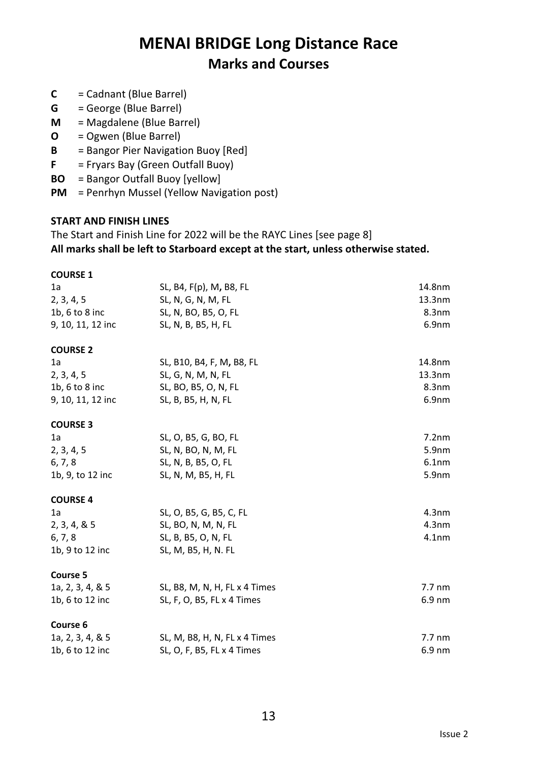# **MENAI BRIDGE Long Distance Race Marks and Courses**

- **C** = Cadnant (Blue Barrel)
- **G** = George (Blue Barrel)
- **M** = Magdalene (Blue Barrel)
- **O** = Ogwen (Blue Barrel)
- **B** = Bangor Pier Navigation Buoy [Red]
- **F** = Fryars Bay (Green Outfall Buoy)
- **BO** = Bangor Outfall Buoy [yellow]
- **PM** = Penrhyn Mussel (Yellow Navigation post)

#### **START AND FINISH LINES**

#### The Start and Finish Line for 2022 will be the RAYC Lines [see page 8] **All marks shall be left to Starboard except at the start, unless otherwise stated.**

#### **COURSE 1**

| 9, 10, 11, 12 inc | SL, N, B, B5, H, FL           | 6.9 <sub>nm</sub> |
|-------------------|-------------------------------|-------------------|
| <b>COURSE 2</b>   |                               |                   |
| 1a                | SL, B10, B4, F, M, B8, FL     | 14.8nm            |
| 2, 3, 4, 5        | SL, G, N, M, N, FL            | 13.3nm            |
| 1b, 6 to 8 inc    | SL, BO, B5, O, N, FL          | 8.3 <sub>nm</sub> |
| 9, 10, 11, 12 inc | SL, B, B5, H, N, FL           | 6.9 <sub>nm</sub> |
| <b>COURSE 3</b>   |                               |                   |
| 1a                | SL, O, B5, G, BO, FL          | 7.2nm             |
| 2, 3, 4, 5        | SL, N, BO, N, M, FL           | 5.9 <sub>nm</sub> |
| 6, 7, 8           | SL, N, B, B5, O, FL           | 6.1 <sub>nm</sub> |
| 1b, 9, to 12 inc  | SL, N, M, B5, H, FL           | 5.9 <sub>nm</sub> |
| <b>COURSE 4</b>   |                               |                   |
| 1a                | SL, O, B5, G, B5, C, FL       | 4.3 <sub>nm</sub> |
| 2, 3, 4, 8, 5     | SL, BO, N, M, N, FL           | 4.3 <sub>nm</sub> |
| 6, 7, 8           | SL, B, B5, O, N, FL           | 4.1 <sub>nm</sub> |
| 1b, 9 to 12 inc   | SL, M, B5, H, N. FL           |                   |
| Course 5          |                               |                   |
| 1a, 2, 3, 4, & 5  | SL, B8, M, N, H, FL x 4 Times | $7.7 \text{ nm}$  |
| 1b, 6 to 12 inc   | SL, F, O, B5, FL x 4 Times    | $6.9 \text{ nm}$  |
| Course 6          |                               |                   |
| 1a, 2, 3, 4, & 5  | SL, M, B8, H, N, FL x 4 Times | $7.7 \text{ nm}$  |
| 1b, 6 to 12 inc   | SL, O, F, B5, FL x 4 Times    | $6.9$ nm          |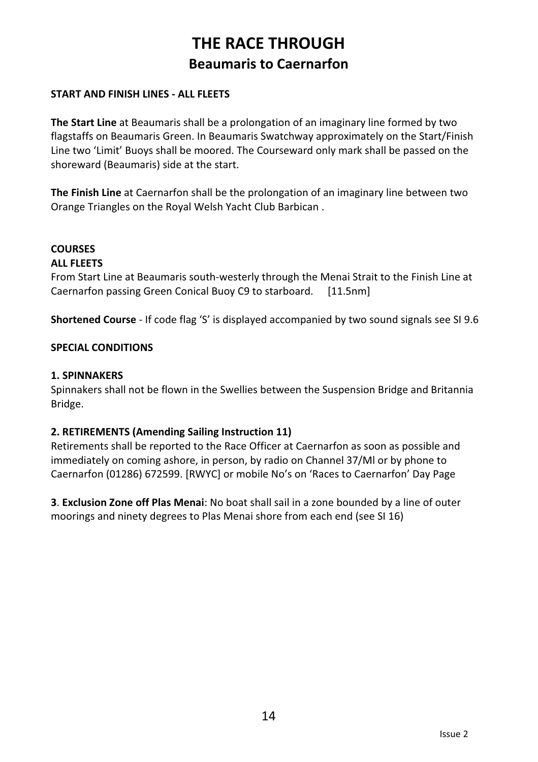# **THE RACE THROUGH Beaumaris to Caernarfon**

#### **START AND FINISH LINES - ALL FLEETS**

**The Start Line** at Beaumaris shall be a prolongation of an imaginary line formed by two flagstaffs on Beaumaris Green. In Beaumaris Swatchway approximately on the Start/Finish Line two 'Limit' Buoys shall be moored. The Courseward only mark shall be passed on the shoreward (Beaumaris) side at the start.

**The Finish Line** at Caernarfon shall be the prolongation of an imaginary line between two Orange Triangles on the Royal Welsh Yacht Club Barbican .

#### **COURSES**

#### **ALL FLEETS**

From Start Line at Beaumaris south-westerly through the Menai Strait to the Finish Line at Caernarfon passing Green Conical Buoy C9 to starboard. [11.5nm]

**Shortened Course** - If code flag 'S' is displayed accompanied by two sound signals see SI 9.6

#### **SPECIAL CONDITIONS**

#### **1. SPINNAKERS**

Spinnakers shall not be flown in the Swellies between the Suspension Bridge and Britannia Bridge.

#### **2. RETIREMENTS (Amending Sailing Instruction 11)**

Retirements shall be reported to the Race Officer at Caernarfon as soon as possible and immediately on coming ashore, in person, by radio on Channel 37/Ml or by phone to Caernarfon (01286) 672599. [RWYC] or mobile No's on 'Races to Caernarfon' Day Page

**3**. **Exclusion Zone off Plas Menai**: No boat shall sail in a zone bounded by a line of outer moorings and ninety degrees to Plas Menai shore from each end (see SI 16)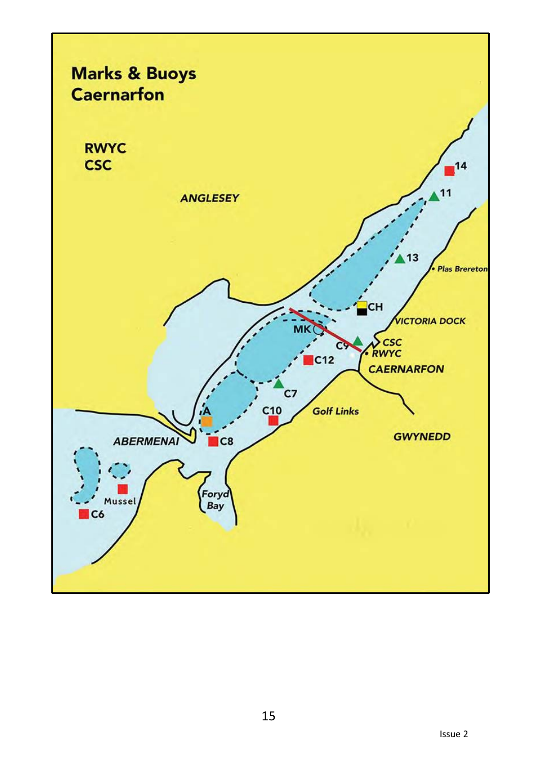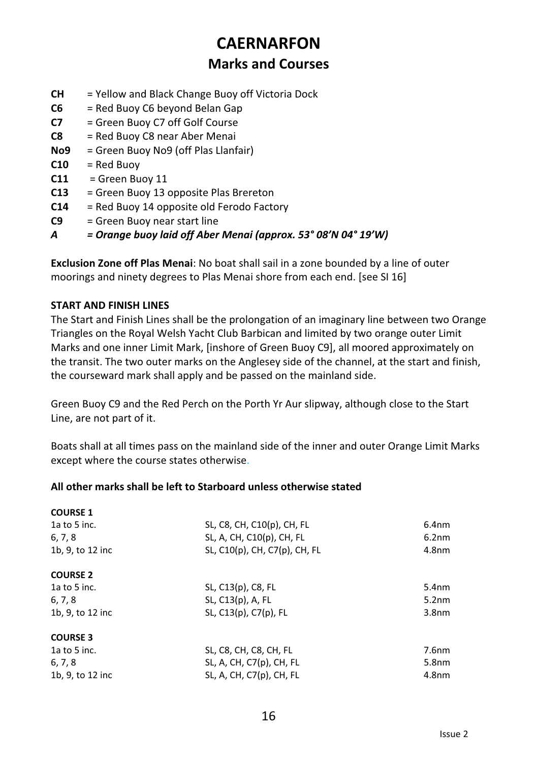### **CAERNARFON**

### **Marks and Courses**

- **CH** = Yellow and Black Change Buoy off Victoria Dock
- **C6** = Red Buoy C6 beyond Belan Gap
- **C7** = Green Buoy C7 off Golf Course
- **C8** = Red Buoy C8 near Aber Menai
- **No9** = Green Buoy No9 (off Plas Llanfair)
- **C10** = Red Buoy
- **C11** = Green Buoy 11
- **C13** = Green Buoy 13 opposite Plas Brereton
- **C14** = Red Buoy 14 opposite old Ferodo Factory
- **C9** = Green Buoy near start line
- *A = Orange buoy laid off Aber Menai (approx. 53° 08'N 04° 19'W)*

**Exclusion Zone off Plas Menai**: No boat shall sail in a zone bounded by a line of outer moorings and ninety degrees to Plas Menai shore from each end. [see SI 16]

#### **START AND FINISH LINES**

The Start and Finish Lines shall be the prolongation of an imaginary line between two Orange Triangles on the Royal Welsh Yacht Club Barbican and limited by two orange outer Limit Marks and one inner Limit Mark, [inshore of Green Buoy C9], all moored approximately on the transit. The two outer marks on the Anglesey side of the channel, at the start and finish, the courseward mark shall apply and be passed on the mainland side.

Green Buoy C9 and the Red Perch on the Porth Yr Aur slipway, although close to the Start Line, are not part of it.

Boats shall at all times pass on the mainland side of the inner and outer Orange Limit Marks except where the course states otherwise.

#### **All other marks shall be left to Starboard unless otherwise stated**

| <b>COURSE 1</b>   |                               |                   |
|-------------------|-------------------------------|-------------------|
| 1a to 5 inc.      | SL, C8, CH, C10(p), CH, FL    | 6.4 <sub>nm</sub> |
| 6, 7, 8           | SL, A, CH, C10(p), CH, FL     | 6.2 <sub>nm</sub> |
| 1b, 9, to 12 inc  | SL, C10(p), CH, C7(p), CH, FL | 4.8 <sub>nm</sub> |
| <b>COURSE 2</b>   |                               |                   |
| $1a$ to 5 inc.    | SL, C13(p), C8, FL            | 5.4 <sub>nm</sub> |
| 6, 7, 8           | SL, C13(p), A, FL             | 5.2nm             |
| 1b. 9. to 12 inc. | SL, C13(p), C7(p), FL         | 3.8 <sub>nm</sub> |
| <b>COURSE 3</b>   |                               |                   |
| 1a to 5 inc.      | SL, C8, CH, C8, CH, FL        | 7.6 <sub>nm</sub> |
| 6, 7, 8           | SL, A, CH, C7(p), CH, FL      | 5.8 <sub>nm</sub> |
| 1b, 9, to 12 inc  | SL, A, CH, C7(p), CH, FL      | 4.8 <sub>nm</sub> |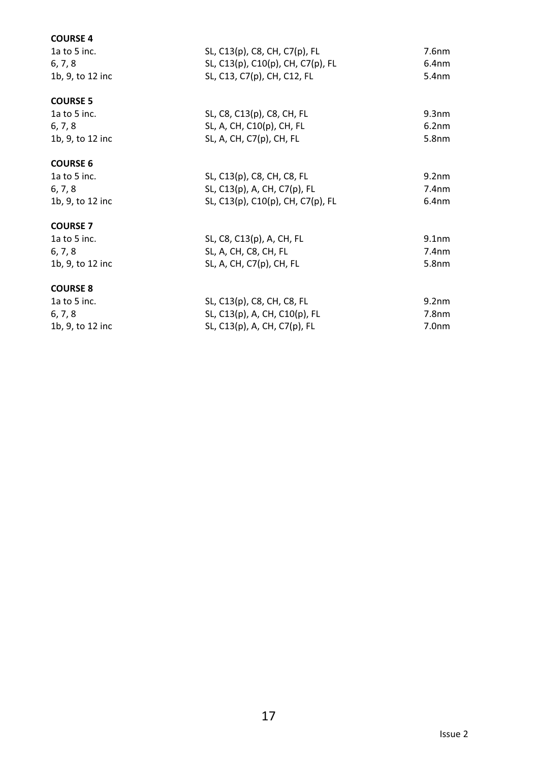#### **COURSE 4**

| 1a to 5 inc.     | SL, C13(p), C8, CH, C7(p), FL     | 7.6nm             |
|------------------|-----------------------------------|-------------------|
| 6, 7, 8          | SL, C13(p), C10(p), CH, C7(p), FL | 6.4 <sub>nm</sub> |
| 1b, 9, to 12 inc | SL, C13, C7(p), CH, C12, FL       | 5.4 <sub>nm</sub> |
| <b>COURSE 5</b>  |                                   |                   |
| 1a to 5 inc.     | SL, C8, C13(p), C8, CH, FL        | 9.3 <sub>nm</sub> |
| 6, 7, 8          | SL, A, CH, C10(p), CH, FL         | 6.2 <sub>nm</sub> |
| 1b, 9, to 12 inc | SL, A, CH, C7(p), CH, FL          | 5.8 <sub>nm</sub> |
| <b>COURSE 6</b>  |                                   |                   |
| 1a to 5 inc.     | SL, C13(p), C8, CH, C8, FL        | 9.2 <sub>nm</sub> |
| 6, 7, 8          | SL, C13(p), A, CH, C7(p), FL      | 7.4 <sub>nm</sub> |
| 1b, 9, to 12 inc | SL, C13(p), C10(p), CH, C7(p), FL | 6.4 <sub>nm</sub> |
| <b>COURSE 7</b>  |                                   |                   |
| 1a to 5 inc.     | SL, C8, C13(p), A, CH, FL         | 9.1 <sub>nm</sub> |
| 6, 7, 8          | SL, A, CH, C8, CH, FL             | 7.4 <sub>nm</sub> |
| 1b, 9, to 12 inc | SL, A, CH, C7(p), CH, FL          | 5.8 <sub>nm</sub> |
| <b>COURSE 8</b>  |                                   |                   |
| 1a to 5 inc.     | SL, C13(p), C8, CH, C8, FL        | 9.2 <sub>nm</sub> |
|                  |                                   |                   |

| -----            | $5 - 7 - 6 = 10$              | -------- |
|------------------|-------------------------------|----------|
| 6, 7, 8          | SL, C13(p), A, CH, C10(p), FL | 7.8nm    |
| 1b, 9, to 12 inc | SL, C13(p), A, CH, C7(p), FL  | 7.0nm    |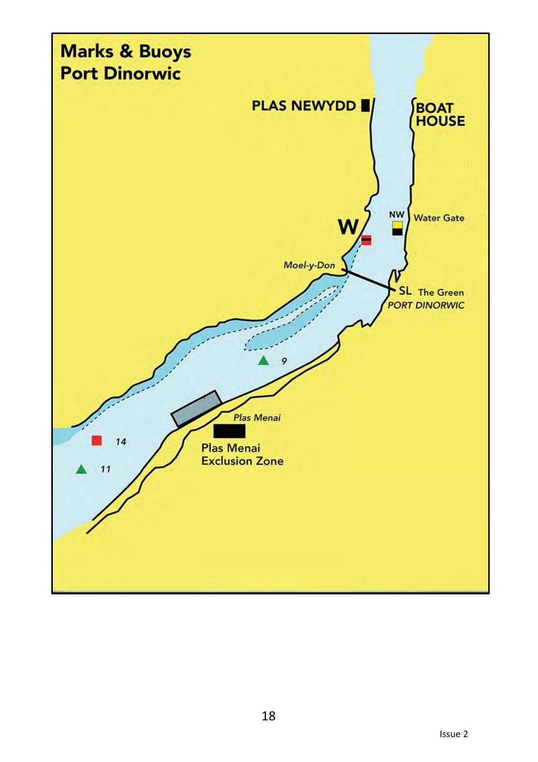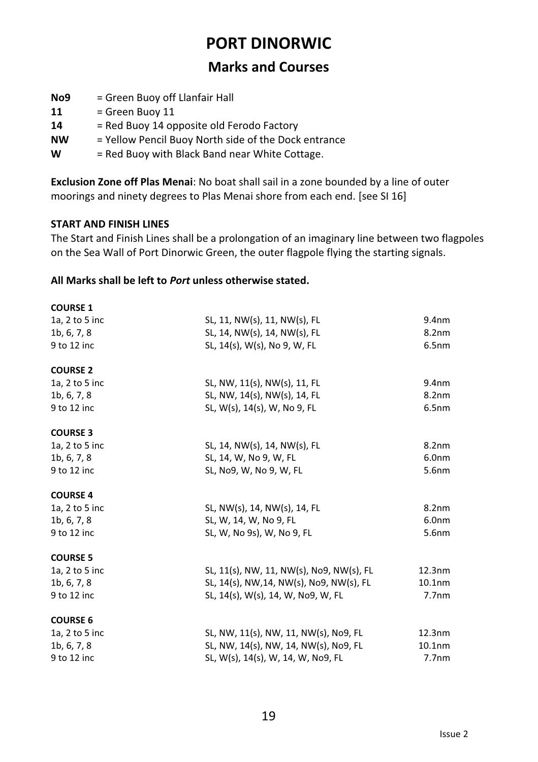# **PORT DINORWIC**

### **Marks and Courses**

- **No9** = Green Buoy off Llanfair Hall
- $11$  = Green Buoy 11
- **14** = Red Buoy 14 opposite old Ferodo Factory
- **NW** = Yellow Pencil Buoy North side of the Dock entrance
- **W** = Red Buoy with Black Band near White Cottage.

**Exclusion Zone off Plas Menai**: No boat shall sail in a zone bounded by a line of outer moorings and ninety degrees to Plas Menai shore from each end. [see SI 16]

#### **START AND FINISH LINES**

The Start and Finish Lines shall be a prolongation of an imaginary line between two flagpoles on the Sea Wall of Port Dinorwic Green, the outer flagpole flying the starting signals.

#### **All Marks shall be left to** *Port* **unless otherwise stated.**

| <b>COURSE 1</b> |                                          |                    |
|-----------------|------------------------------------------|--------------------|
| 1a, 2 to 5 inc  | SL, 11, NW(s), 11, NW(s), FL             | 9.4 <sub>nm</sub>  |
| 1b, 6, 7, 8     | SL, 14, NW(s), 14, NW(s), FL             | 8.2 <sub>nm</sub>  |
| 9 to 12 inc     | SL, 14(s), W(s), No 9, W, FL             | 6.5nm              |
| <b>COURSE 2</b> |                                          |                    |
| 1a, 2 to 5 inc  | SL, NW, 11(s), NW(s), 11, FL             | 9.4 <sub>nm</sub>  |
| 1b, 6, 7, 8     | SL, NW, 14(s), NW(s), 14, FL             | 8.2 <sub>nm</sub>  |
| 9 to 12 inc     | SL, W(s), 14(s), W, No 9, FL             | 6.5nm              |
| <b>COURSE 3</b> |                                          |                    |
| 1a, 2 to 5 inc  | SL, 14, NW(s), 14, NW(s), FL             | 8.2 <sub>nm</sub>  |
| 1b, 6, 7, 8     | SL, 14, W, No 9, W, FL                   | 6.0 <sub>nm</sub>  |
| 9 to 12 inc     | SL, No9, W, No 9, W, FL                  | 5.6nm              |
| <b>COURSE 4</b> |                                          |                    |
| 1a, 2 to 5 inc  | SL, NW(s), 14, NW(s), 14, FL             | 8.2 <sub>nm</sub>  |
| 1b, 6, 7, 8     | SL, W, 14, W, No 9, FL                   | 6.0 <sub>nm</sub>  |
| 9 to 12 inc     | SL, W, No 9s), W, No 9, FL               | 5.6nm              |
| <b>COURSE 5</b> |                                          |                    |
| 1a, 2 to 5 inc  | SL, 11(s), NW, 11, NW(s), No9, NW(s), FL | 12.3nm             |
| 1b, 6, 7, 8     | SL, 14(s), NW, 14, NW(s), No9, NW(s), FL | 10.1 <sub>nm</sub> |
| 9 to 12 inc     | SL, 14(s), W(s), 14, W, No9, W, FL       | 7.7nm              |
| <b>COURSE 6</b> |                                          |                    |
| 1a, 2 to 5 inc  | SL, NW, 11(s), NW, 11, NW(s), No9, FL    | 12.3nm             |
| 1b, 6, 7, 8     | SL, NW, 14(s), NW, 14, NW(s), No9, FL    | 10.1 <sub>nm</sub> |
| 9 to 12 inc     | SL, W(s), 14(s), W, 14, W, No9, FL       | 7.7nm              |
|                 |                                          |                    |